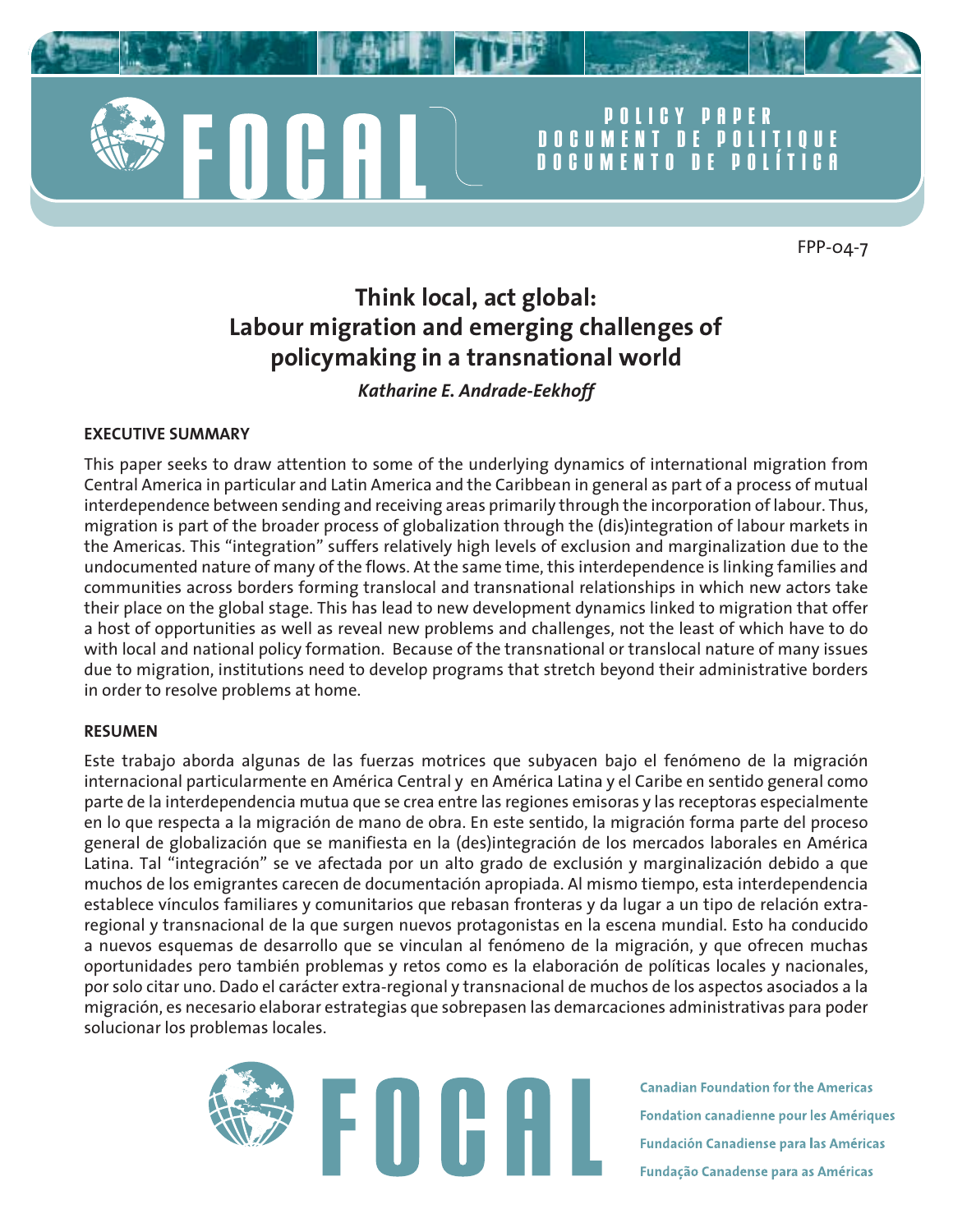

# **POLICY PAPER DOCUMENT DE POLITIQUE DOCUMENTO DE POL**

FPP-04-7

# **Think local, act global: Labour migration and emerging challenges of policymaking in a transnational world**

# *Katharine E. Andrade-Eekhoff*

## **EXECUTIVE SUMMARY**

This paper seeks to draw attention to some of the underlying dynamics of international migration from Central America in particular and Latin America and the Caribbean in general as part of a process of mutual interdependence between sending and receiving areas primarily through the incorporation of labour. Thus, migration is part of the broader process of globalization through the (dis)integration of labour markets in the Americas. This "integration" suffers relatively high levels of exclusion and marginalization due to the undocumented nature of many of the flows. At the same time, this interdependence is linking families and communities across borders forming translocal and transnational relationships in which new actors take their place on the global stage. This has lead to new development dynamics linked to migration that offer a host of opportunities as well as reveal new problems and challenges, not the least of which have to do with local and national policy formation. Because of the transnational or translocal nature of many issues due to migration, institutions need to develop programs that stretch beyond their administrative borders in order to resolve problems at home.

#### **RESUMEN**

Este trabajo aborda algunas de las fuerzas motrices que subyacen bajo el fenómeno de la migración internacional particularmente en América Central y en América Latina y el Caribe en sentido general como parte de la interdependencia mutua que se crea entre las regiones emisoras y las receptoras especialmente en lo que respecta a la migración de mano de obra. En este sentido, la migración forma parte del proceso general de globalización que se manifiesta en la (des)integración de los mercados laborales en América Latina. Tal "integración" se ve afectada por un alto grado de exclusión y marginalización debido a que muchos de los emigrantes carecen de documentación apropiada. Al mismo tiempo, esta interdependencia establece vínculos familiares y comunitarios que rebasan fronteras y da lugar a un tipo de relación extraregional y transnacional de la que surgen nuevos protagonistas en la escena mundial. Esto ha conducido a nuevos esquemas de desarrollo que se vinculan al fenómeno de la migración, y que ofrecen muchas oportunidades pero también problemas y retos como es la elaboración de políticas locales y nacionales, por solo citar uno. Dado el carácter extra-regional y transnacional de muchos de los aspectos asociados a la migración, es necesario elaborar estrategias que sobrepasen las demarcaciones administrativas para poder solucionar los problemas locales.



**Canadian Foundation for the Americas Fondation canadienne pour les Amériques Fundación Canadiense para las Américas** Fundação Canadense para as Américas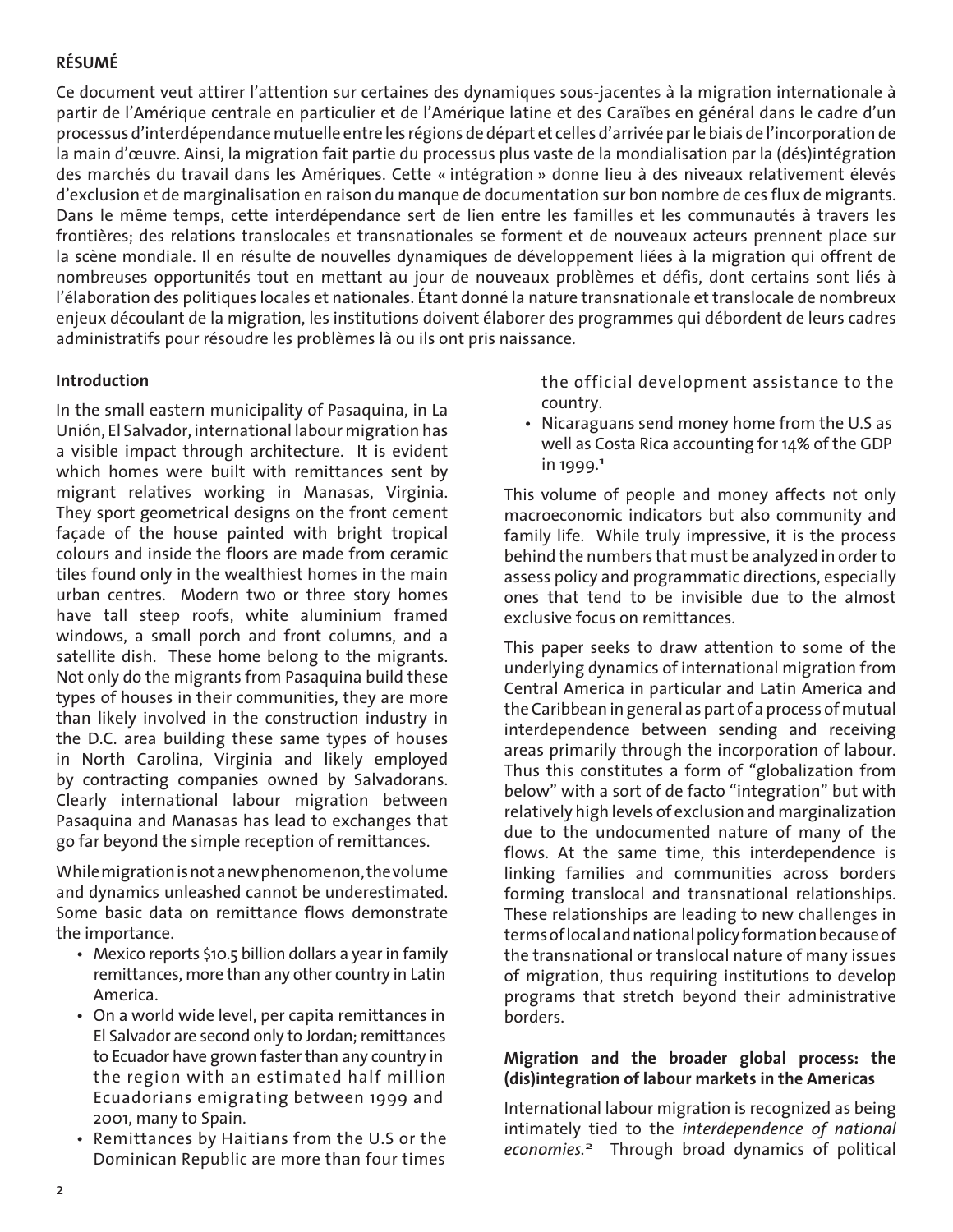# **RÉSUMÉ**

Ce document veut attirer l'attention sur certaines des dynamiques sous-jacentes à la migration internationale à partir de l'Amérique centrale en particulier et de l'Amérique latine et des Caraïbes en général dans le cadre d'un processus d'interdépendance mutuelle entre les régions de départ et celles d'arrivée par le biais de l'incorporation de la main d'œuvre. Ainsi, la migration fait partie du processus plus vaste de la mondialisation par la (dés)intégration des marchés du travail dans les Amériques. Cette « intégration » donne lieu à des niveaux relativement élevés d'exclusion et de marginalisation en raison du manque de documentation sur bon nombre de ces flux de migrants. Dans le même temps, cette interdépendance sert de lien entre les familles et les communautés à travers les frontières; des relations translocales et transnationales se forment et de nouveaux acteurs prennent place sur la scène mondiale. Il en résulte de nouvelles dynamiques de développement liées à la migration qui offrent de nombreuses opportunités tout en mettant au jour de nouveaux problèmes et défis, dont certains sont liés à l'élaboration des politiques locales et nationales. Étant donné la nature transnationale et translocale de nombreux enjeux découlant de la migration, les institutions doivent élaborer des programmes qui débordent de leurs cadres administratifs pour résoudre les problèmes là ou ils ont pris naissance.

# **Introduction**

In the small eastern municipality of Pasaquina, in La Unión, El Salvador, international labour migration has a visible impact through architecture. It is evident which homes were built with remittances sent by migrant relatives working in Manasas, Virginia. They sport geometrical designs on the front cement façade of the house painted with bright tropical colours and inside the floors are made from ceramic tiles found only in the wealthiest homes in the main urban centres. Modern two or three story homes have tall steep roofs, white aluminium framed windows, a small porch and front columns, and a satellite dish. These home belong to the migrants. Not only do the migrants from Pasaquina build these types of houses in their communities, they are more than likely involved in the construction industry in the D.C. area building these same types of houses in North Carolina, Virginia and likely employed by contracting companies owned by Salvadorans. Clearly international labour migration between Pasaquina and Manasas has lead to exchanges that go far beyond the simple reception of remittances.

While migration is not a new phenomenon, the volume and dynamics unleashed cannot be underestimated. Some basic data on remittance flows demonstrate the importance.

- Mexico reports \$10.5 billion dollars a year in family remittances, more than any other country in Latin America.
- On a world wide level, per capita remittances in El Salvador are second only to Jordan; remittances to Ecuador have grown faster than any country in the region with an estimated half million Ecuadorians emigrating between 1999 and 2001, many to Spain.
- Remittances by Haitians from the U.S or the Dominican Republic are more than four times

 the official development assistance to the country.

 • Nicaraguans send money home from the U.S as well as Costa Rica accounting for 14% of the GDP in 1999.<sup>1</sup>

This volume of people and money affects not only macroeconomic indicators but also community and family life. While truly impressive, it is the process behind the numbers that must be analyzed in order to assess policy and programmatic directions, especially ones that tend to be invisible due to the almost exclusive focus on remittances.

This paper seeks to draw attention to some of the underlying dynamics of international migration from Central America in particular and Latin America and the Caribbean in general as part of a process of mutual interdependence between sending and receiving areas primarily through the incorporation of labour. Thus this constitutes a form of "globalization from below" with a sort of de facto "integration" but with relatively high levels of exclusion and marginalization due to the undocumented nature of many of the flows. At the same time, this interdependence is linking families and communities across borders forming translocal and transnational relationships. These relationships are leading to new challenges in terms of local and national policy formation because of the transnational or translocal nature of many issues of migration, thus requiring institutions to develop programs that stretch beyond their administrative borders.

## **Migration and the broader global process: the (dis)integration of labour markets in the Americas**

International labour migration is recognized as being intimately tied to the *interdependence of national economies.*2 Through broad dynamics of political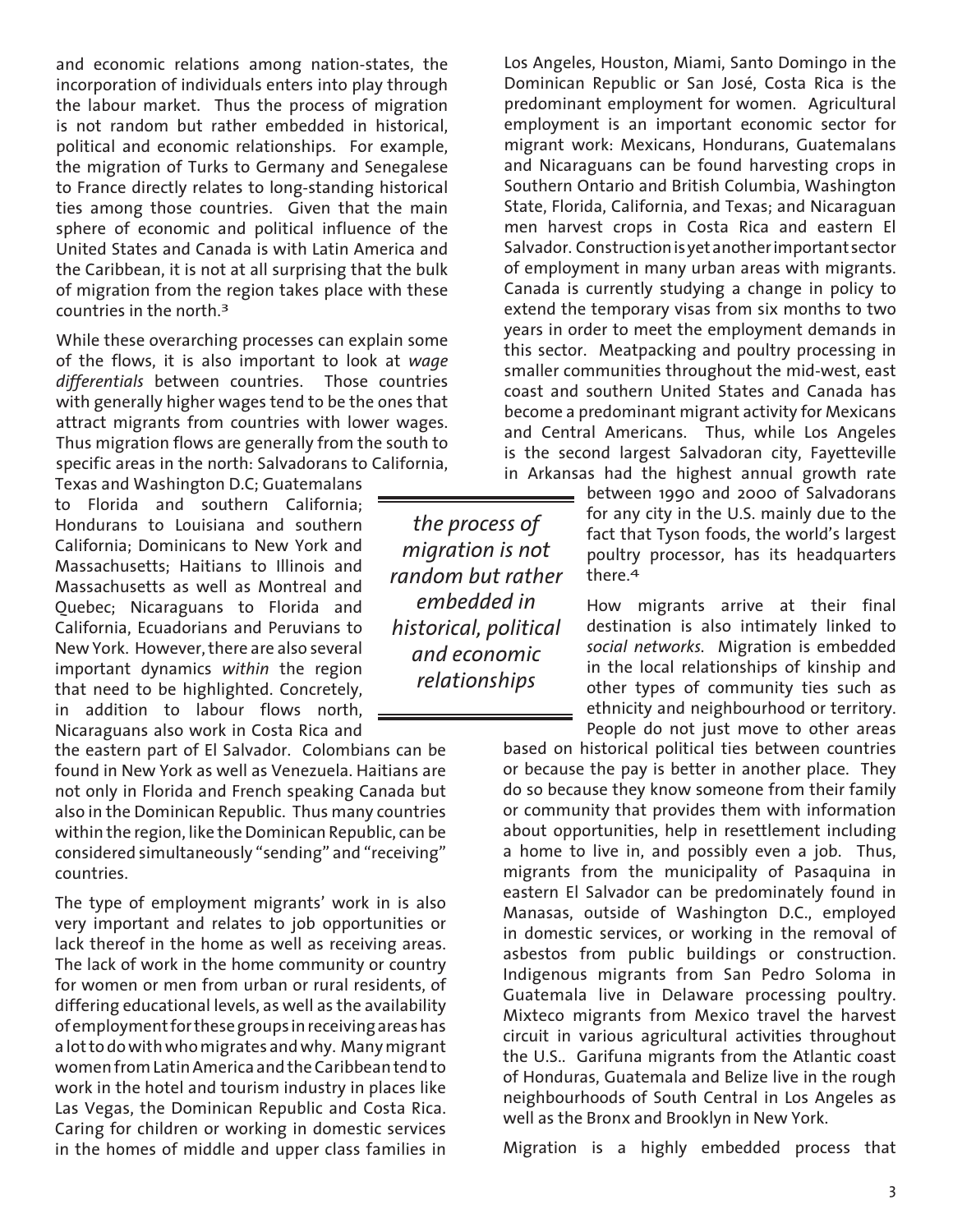and economic relations among nation-states, the incorporation of individuals enters into play through the labour market. Thus the process of migration is not random but rather embedded in historical, political and economic relationships. For example, the migration of Turks to Germany and Senegalese to France directly relates to long-standing historical ties among those countries. Given that the main sphere of economic and political influence of the United States and Canada is with Latin America and the Caribbean, it is not at all surprising that the bulk of migration from the region takes place with these countries in the north.3

While these overarching processes can explain some of the flows, it is also important to look at *wage differentials* between countries. Those countries with generally higher wages tend to be the ones that attract migrants from countries with lower wages. Thus migration flows are generally from the south to specific areas in the north: Salvadorans to California,

to Florida and southern California; Hondurans to Louisiana and southern California; Dominicans to New York and Massachusetts; Haitians to Illinois and Massachusetts as well as Montreal and Quebec; Nicaraguans to Florida and California, Ecuadorians and Peruvians to New York. However, there are also several important dynamics *within* the region that need to be highlighted. Concretely, in addition to labour flows north, Nicaraguans also work in Costa Rica and

the eastern part of El Salvador. Colombians can be found in New York as well as Venezuela. Haitians are not only in Florida and French speaking Canada but also in the Dominican Republic. Thus many countries within the region, like the Dominican Republic, can be considered simultaneously "sending" and "receiving" countries.

The type of employment migrants' work in is also very important and relates to job opportunities or lack thereof in the home as well as receiving areas. The lack of work in the home community or country for women or men from urban or rural residents, of differing educational levels, as well as the availability of employment for these groups in receiving areas has a lot to do with who migrates and why. Many migrant women from Latin America and the Caribbean tend to work in the hotel and tourism industry in places like Las Vegas, the Dominican Republic and Costa Rica. Caring for children or working in domestic services in the homes of middle and upper class families in

*the process of migration is not random but rather embedded in historical, political and economic relationships*

Los Angeles, Houston, Miami, Santo Domingo in the Dominican Republic or San José, Costa Rica is the predominant employment for women. Agricultural employment is an important economic sector for migrant work: Mexicans, Hondurans, Guatemalans and Nicaraguans can be found harvesting crops in Southern Ontario and British Columbia, Washington State, Florida, California, and Texas; and Nicaraguan men harvest crops in Costa Rica and eastern El Salvador. Construction is yet another important sector of employment in many urban areas with migrants. Canada is currently studying a change in policy to extend the temporary visas from six months to two years in order to meet the employment demands in this sector. Meatpacking and poultry processing in smaller communities throughout the mid-west, east coast and southern United States and Canada has become a predominant migrant activity for Mexicans and Central Americans. Thus, while Los Angeles is the second largest Salvadoran city, Fayetteville in Arkansas had the highest annual growth rate<br>Texas and Washington D.C; Guatemalans

between 1990 and 2000 of Salvadorans for any city in the U.S. mainly due to the fact that Tyson foods, the world's largest poultry processor, has its headquarters there.4

> How migrants arrive at their final destination is also intimately linked to *social networks.* Migration is embedded in the local relationships of kinship and other types of community ties such as ethnicity and neighbourhood or territory. People do not just move to other areas

based on historical political ties between countries or because the pay is better in another place. They do so because they know someone from their family or community that provides them with information about opportunities, help in resettlement including a home to live in, and possibly even a job. Thus, migrants from the municipality of Pasaquina in eastern El Salvador can be predominately found in Manasas, outside of Washington D.C., employed in domestic services, or working in the removal of asbestos from public buildings or construction. Indigenous migrants from San Pedro Soloma in Guatemala live in Delaware processing poultry. Mixteco migrants from Mexico travel the harvest circuit in various agricultural activities throughout the U.S.. Garifuna migrants from the Atlantic coast of Honduras, Guatemala and Belize live in the rough neighbourhoods of South Central in Los Angeles as well as the Bronx and Brooklyn in New York.

Migration is a highly embedded process that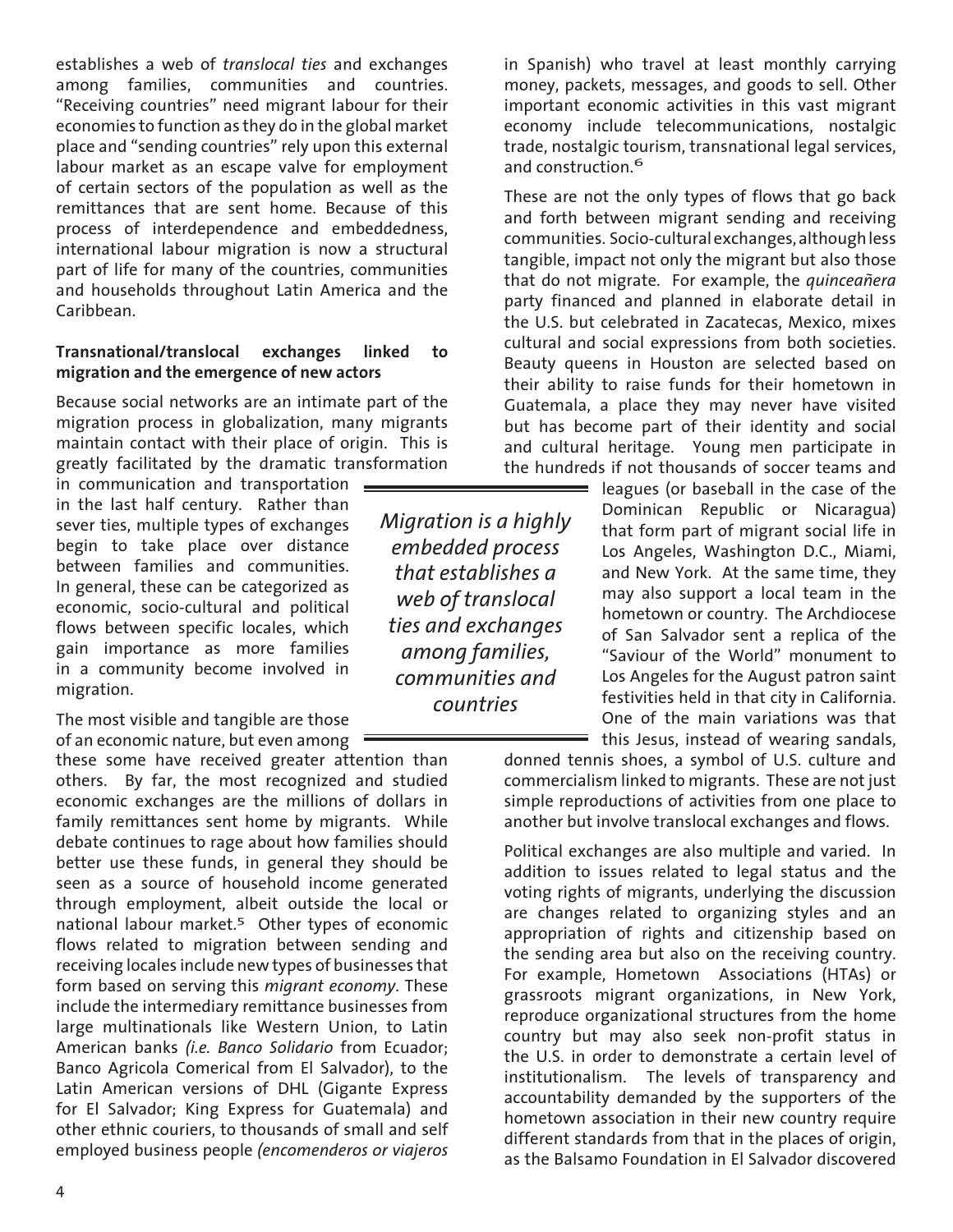establishes a web of *translocal ties* and exchanges among families, communities and countries. "Receiving countries" need migrant labour for their economies to function as they do in the global market place and "sending countries" rely upon this external labour market as an escape valve for employment of certain sectors of the population as well as the remittances that are sent home. Because of this process of interdependence and embeddedness, international labour migration is now a structural part of life for many of the countries, communities and households throughout Latin America and the Caribbean.

#### **Transnational/translocal exchanges linked to migration and the emergence of new actors**

Because social networks are an intimate part of the migration process in globalization, many migrants maintain contact with their place of origin. This is greatly facilitated by the dramatic transformation

in communication and transportation = in the last half century. Rather than sever ties, multiple types of exchanges begin to take place over distance between families and communities. In general, these can be categorized as economic, socio-cultural and political flows between specific locales, which gain importance as more families in a community become involved in migration.

The most visible and tangible are those of an economic nature, but even among

these some have received greater attention than others. By far, the most recognized and studied economic exchanges are the millions of dollars in family remittances sent home by migrants. While debate continues to rage about how families should better use these funds, in general they should be seen as a source of household income generated through employment, albeit outside the local or national labour market.<sup>5</sup> Other types of economic flows related to migration between sending and receiving locales include new types of businesses that form based on serving this *migrant economy*. These include the intermediary remittance businesses from large multinationals like Western Union, to Latin American banks *(i.e. Banco Solidario* from Ecuador; Banco Agricola Comerical from El Salvador), to the Latin American versions of DHL (Gigante Express for El Salvador; King Express for Guatemala) and other ethnic couriers, to thousands of small and self employed business people *(encomenderos or viajeros*

*Migration is a highly embedded process that establishes a web of translocal ties and exchanges among families, communities and countries*

in Spanish) who travel at least monthly carrying money, packets, messages, and goods to sell. Other important economic activities in this vast migrant economy include telecommunications, nostalgic trade, nostalgic tourism, transnational legal services, and construction.6

These are not the only types of flows that go back and forth between migrant sending and receiving communities. Socio-cultural exchanges, although less tangible, impact not only the migrant but also those that do not migrate. For example, the *quinceañera* party financed and planned in elaborate detail in the U.S. but celebrated in Zacatecas, Mexico, mixes cultural and social expressions from both societies. Beauty queens in Houston are selected based on their ability to raise funds for their hometown in Guatemala, a place they may never have visited but has become part of their identity and social and cultural heritage. Young men participate in the hundreds if not thousands of soccer teams and

> leagues (or baseball in the case of the Dominican Republic or Nicaragua) that form part of migrant social life in Los Angeles, Washington D.C., Miami, and New York. At the same time, they may also support a local team in the hometown or country. The Archdiocese of San Salvador sent a replica of the "Saviour of the World" monument to Los Angeles for the August patron saint festivities held in that city in California. One of the main variations was that this Jesus, instead of wearing sandals,

donned tennis shoes, a symbol of U.S. culture and commercialism linked to migrants. These are not just simple reproductions of activities from one place to another but involve translocal exchanges and flows.

Political exchanges are also multiple and varied. In addition to issues related to legal status and the voting rights of migrants, underlying the discussion are changes related to organizing styles and an appropriation of rights and citizenship based on the sending area but also on the receiving country. For example, Hometown Associations (HTAs) or grassroots migrant organizations, in New York, reproduce organizational structures from the home country but may also seek non-profit status in the U.S. in order to demonstrate a certain level of institutionalism. The levels of transparency and accountability demanded by the supporters of the hometown association in their new country require different standards from that in the places of origin, as the Balsamo Foundation in El Salvador discovered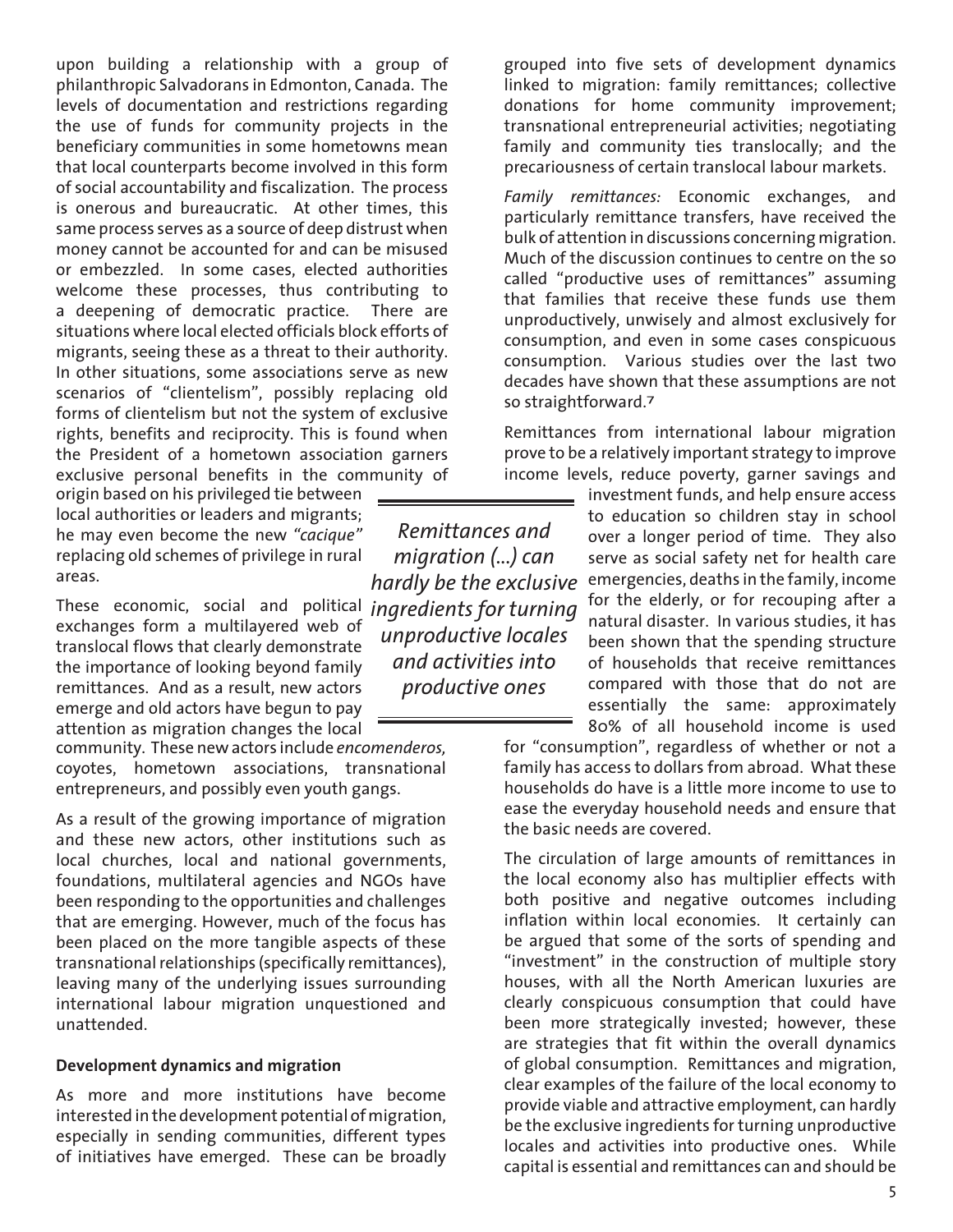upon building a relationship with a group of philanthropic Salvadorans in Edmonton, Canada. The levels of documentation and restrictions regarding the use of funds for community projects in the beneficiary communities in some hometowns mean that local counterparts become involved in this form of social accountability and fiscalization. The process is onerous and bureaucratic. At other times, this same process serves as a source of deep distrust when money cannot be accounted for and can be misused or embezzled. In some cases, elected authorities welcome these processes, thus contributing to a deepening of democratic practice. There are situations where local elected officials block efforts of migrants, seeing these as a threat to their authority. In other situations, some associations serve as new scenarios of "clientelism", possibly replacing old forms of clientelism but not the system of exclusive rights, benefits and reciprocity. This is found when the President of a hometown association garners exclusive personal benefits in the community of

origin based on his privileged tie between local authorities or leaders and migrants; he may even become the new *"cacique"* replacing old schemes of privilege in rural areas.

*ingredients for turning*  These economic, social and political exchanges form a multilayered web of translocal flows that clearly demonstrate the importance of looking beyond family remittances. And as a result, new actors emerge and old actors have begun to pay attention as migration changes the local

community. These new actors include *encomenderos,* coyotes, hometown associations, transnational entrepreneurs, and possibly even youth gangs.

As a result of the growing importance of migration and these new actors, other institutions such as local churches, local and national governments, foundations, multilateral agencies and NGOs have been responding to the opportunities and challenges that are emerging. However, much of the focus has been placed on the more tangible aspects of these transnational relationships (specifically remittances), leaving many of the underlying issues surrounding international labour migration unquestioned and unattended.

#### **Development dynamics and migration**

As more and more institutions have become interested in the development potential of migration, especially in sending communities, different types of initiatives have emerged. These can be broadly

*Remittances and migration (...) can hardly be the exclusive unproductive locales and activities into productive ones*

grouped into five sets of development dynamics linked to migration: family remittances; collective donations for home community improvement; transnational entrepreneurial activities; negotiating family and community ties translocally; and the precariousness of certain translocal labour markets.

*Family remittances:* Economic exchanges, and particularly remittance transfers, have received the bulk of attention in discussions concerning migration. Much of the discussion continues to centre on the so called "productive uses of remittances" assuming that families that receive these funds use them unproductively, unwisely and almost exclusively for consumption, and even in some cases conspicuous consumption. Various studies over the last two decades have shown that these assumptions are not so straightforward.7

Remittances from international labour migration prove to be a relatively important strategy to improve income levels, reduce poverty, garner savings and

> investment funds, and help ensure access to education so children stay in school over a longer period of time. They also serve as social safety net for health care emergencies, deaths in the family, income for the elderly, or for recouping after a natural disaster. In various studies, it has been shown that the spending structure of households that receive remittances compared with those that do not are essentially the same: approximately 80% of all household income is used

for "consumption", regardless of whether or not a family has access to dollars from abroad. What these households do have is a little more income to use to ease the everyday household needs and ensure that the basic needs are covered.

The circulation of large amounts of remittances in the local economy also has multiplier effects with both positive and negative outcomes including inflation within local economies. It certainly can be argued that some of the sorts of spending and "investment" in the construction of multiple story houses, with all the North American luxuries are clearly conspicuous consumption that could have been more strategically invested; however, these are strategies that fit within the overall dynamics of global consumption. Remittances and migration, clear examples of the failure of the local economy to provide viable and attractive employment, can hardly be the exclusive ingredients for turning unproductive locales and activities into productive ones. While capital is essential and remittances can and should be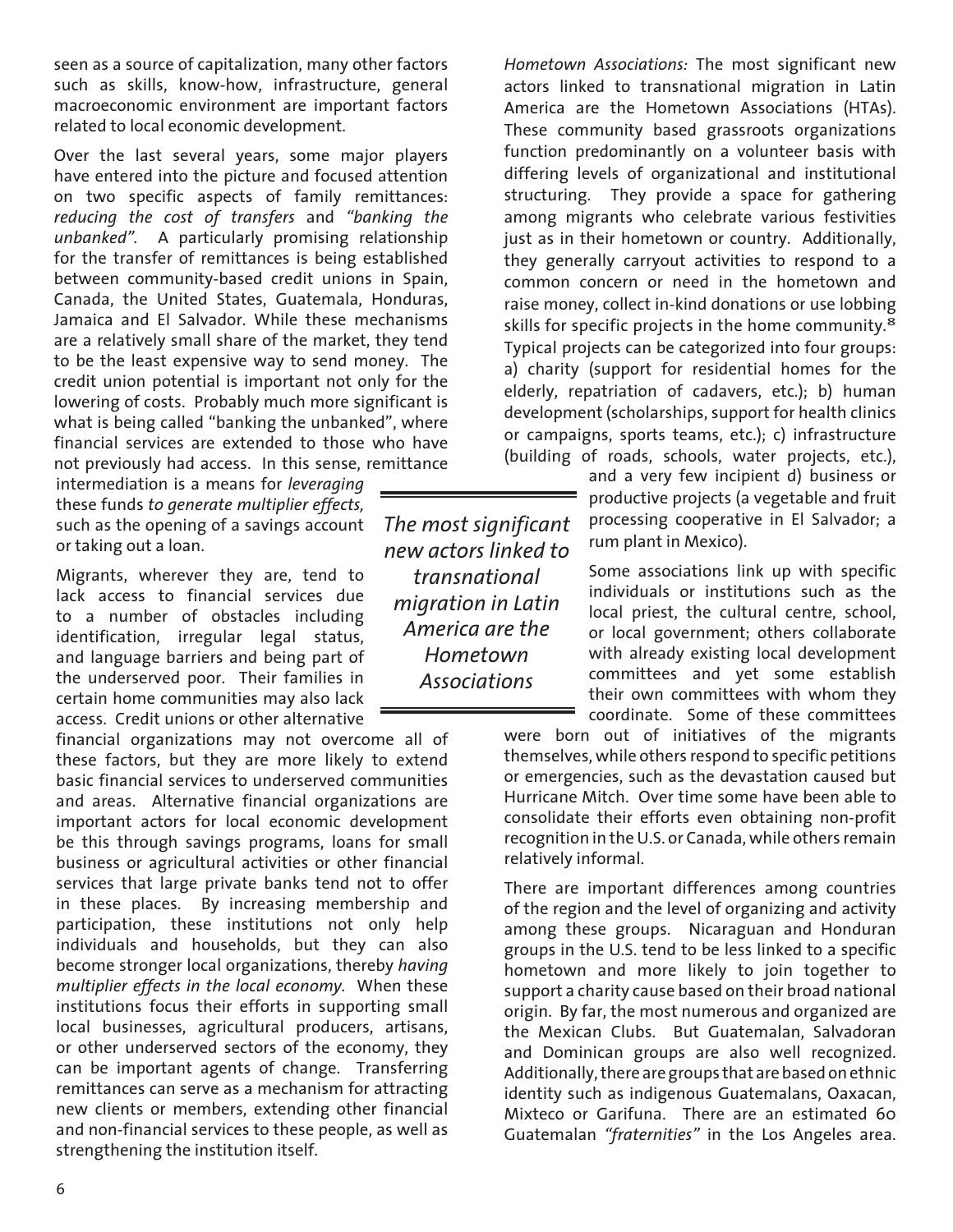seen as a source of capitalization, many other factors such as skills, know-how, infrastructure, general macroeconomic environment are important factors related to local economic development.

Over the last several years, some major players have entered into the picture and focused attention on two specific aspects of family remittances: *reducing the cost of transfers* and *"banking the unbanked".* A particularly promising relationship for the transfer of remittances is being established between community-based credit unions in Spain, Canada, the United States, Guatemala, Honduras, Jamaica and El Salvador. While these mechanisms are a relatively small share of the market, they tend to be the least expensive way to send money. The credit union potential is important not only for the lowering of costs. Probably much more significant is what is being called "banking the unbanked", where financial services are extended to those who have not previously had access. In this sense, remittance

intermediation is a means for *leveraging* these funds *to generate multiplier effects,*  such as the opening of a savings account or taking out a loan.

Migrants, wherever they are, tend to lack access to financial services due to a number of obstacles including identification, irregular legal status, and language barriers and being part of the underserved poor. Their families in certain home communities may also lack access. Credit unions or other alternative

financial organizations may not overcome all of these factors, but they are more likely to extend basic financial services to underserved communities and areas. Alternative financial organizations are important actors for local economic development be this through savings programs, loans for small business or agricultural activities or other financial services that large private banks tend not to offer in these places. By increasing membership and participation, these institutions not only help individuals and households, but they can also become stronger local organizations, thereby *having multiplier effects in the local economy.* When these institutions focus their efforts in supporting small local businesses, agricultural producers, artisans, or other underserved sectors of the economy, they can be important agents of change. Transferring remittances can serve as a mechanism for attracting new clients or members, extending other financial and non-financial services to these people, as well as strengthening the institution itself.

*The most significant new actors linked to transnational migration in Latin America are the Hometown Associations* 

*Hometown Associations:* The most significant new actors linked to transnational migration in Latin America are the Hometown Associations (HTAs). These community based grassroots organizations function predominantly on a volunteer basis with differing levels of organizational and institutional structuring. They provide a space for gathering among migrants who celebrate various festivities just as in their hometown or country. Additionally, they generally carryout activities to respond to a common concern or need in the hometown and raise money, collect in-kind donations or use lobbing skills for specific projects in the home community.<sup>8</sup> Typical projects can be categorized into four groups: a) charity (support for residential homes for the elderly, repatriation of cadavers, etc.); b) human development (scholarships, support for health clinics or campaigns, sports teams, etc.); c) infrastructure (building of roads, schools, water projects, etc.),

> and a very few incipient d) business or productive projects (a vegetable and fruit processing cooperative in El Salvador; a rum plant in Mexico).

> Some associations link up with specific individuals or institutions such as the local priest, the cultural centre, school, or local government; others collaborate with already existing local development committees and yet some establish their own committees with whom they coordinate. Some of these committees

were born out of initiatives of the migrants themselves, while others respond to specific petitions or emergencies, such as the devastation caused but Hurricane Mitch. Over time some have been able to consolidate their efforts even obtaining non-profit recognition in the U.S. or Canada, while others remain relatively informal.

There are important differences among countries of the region and the level of organizing and activity among these groups. Nicaraguan and Honduran groups in the U.S. tend to be less linked to a specific hometown and more likely to join together to support a charity cause based on their broad national origin. By far, the most numerous and organized are the Mexican Clubs. But Guatemalan, Salvadoran and Dominican groups are also well recognized. Additionally, there are groups that are based on ethnic identity such as indigenous Guatemalans, Oaxacan, Mixteco or Garifuna. There are an estimated 60 Guatemalan *"fraternities"* in the Los Angeles area.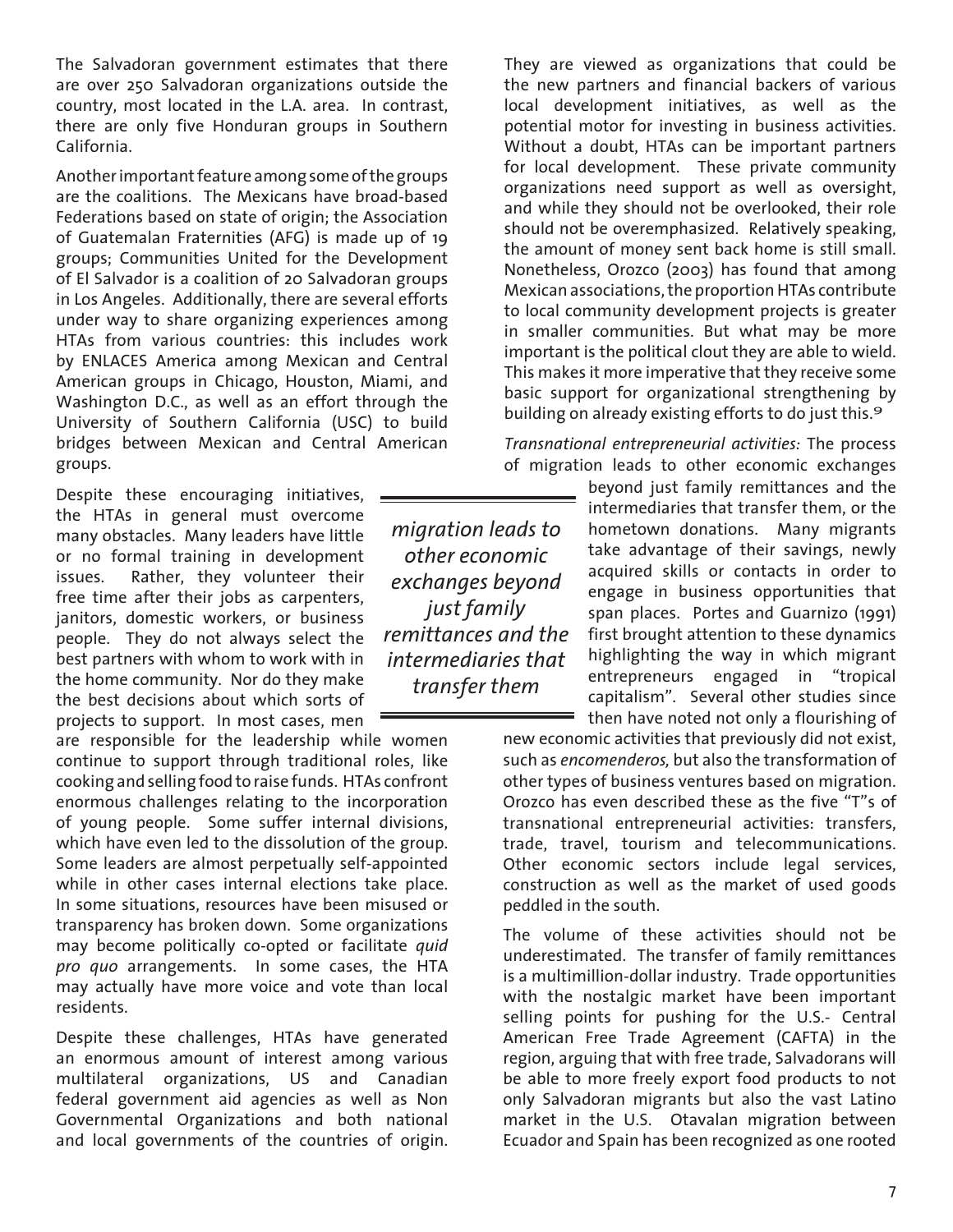The Salvadoran government estimates that there are over 250 Salvadoran organizations outside the country, most located in the L.A. area. In contrast, there are only five Honduran groups in Southern California.

Another important feature among some of the groups are the coalitions. The Mexicans have broad-based Federations based on state of origin; the Association of Guatemalan Fraternities (AFG) is made up of 19 groups; Communities United for the Development of El Salvador is a coalition of 20 Salvadoran groups in Los Angeles. Additionally, there are several efforts under way to share organizing experiences among HTAs from various countries: this includes work by ENLACES America among Mexican and Central American groups in Chicago, Houston, Miami, and Washington D.C., as well as an effort through the University of Southern California (USC) to build bridges between Mexican and Central American groups.

Despite these encouraging initiatives, the HTAs in general must overcome many obstacles. Many leaders have little or no formal training in development issues. Rather, they volunteer their free time after their jobs as carpenters, janitors, domestic workers, or business people. They do not always select the best partners with whom to work with in the home community. Nor do they make the best decisions about which sorts of projects to support. In most cases, men

are responsible for the leadership while women continue to support through traditional roles, like cooking and selling food to raise funds. HTAs confront enormous challenges relating to the incorporation of young people. Some suffer internal divisions, which have even led to the dissolution of the group. Some leaders are almost perpetually self-appointed while in other cases internal elections take place. In some situations, resources have been misused or transparency has broken down. Some organizations may become politically co-opted or facilitate *quid pro quo* arrangements. In some cases, the HTA may actually have more voice and vote than local residents.

Despite these challenges, HTAs have generated an enormous amount of interest among various multilateral organizations, US and Canadian federal government aid agencies as well as Non Governmental Organizations and both national and local governments of the countries of origin.

*migration leads to other economic exchanges beyond just family remittances and the intermediaries that transfer them*

They are viewed as organizations that could be the new partners and financial backers of various local development initiatives, as well as the potential motor for investing in business activities. Without a doubt, HTAs can be important partners for local development. These private community organizations need support as well as oversight, and while they should not be overlooked, their role should not be overemphasized. Relatively speaking, the amount of money sent back home is still small. Nonetheless, Orozco (2003) has found that among Mexican associations, the proportion HTAs contribute to local community development projects is greater in smaller communities. But what may be more important is the political clout they are able to wield. This makes it more imperative that they receive some basic support for organizational strengthening by building on already existing efforts to do just this.<sup>9</sup>

*Transnational entrepreneurial activities:* The process of migration leads to other economic exchanges

> beyond just family remittances and the intermediaries that transfer them, or the hometown donations. Many migrants take advantage of their savings, newly acquired skills or contacts in order to engage in business opportunities that span places. Portes and Guarnizo (1991) first brought attention to these dynamics highlighting the way in which migrant entrepreneurs engaged in "tropical capitalism". Several other studies since then have noted not only a flourishing of

new economic activities that previously did not exist, such as *encomenderos,* but also the transformation of other types of business ventures based on migration. Orozco has even described these as the five "T"s of transnational entrepreneurial activities: transfers, trade, travel, tourism and telecommunications. Other economic sectors include legal services, construction as well as the market of used goods peddled in the south.

The volume of these activities should not be underestimated. The transfer of family remittances is a multimillion-dollar industry. Trade opportunities with the nostalgic market have been important selling points for pushing for the U.S.- Central American Free Trade Agreement (CAFTA) in the region, arguing that with free trade, Salvadorans will be able to more freely export food products to not only Salvadoran migrants but also the vast Latino market in the U.S. Otavalan migration between Ecuador and Spain has been recognized as one rooted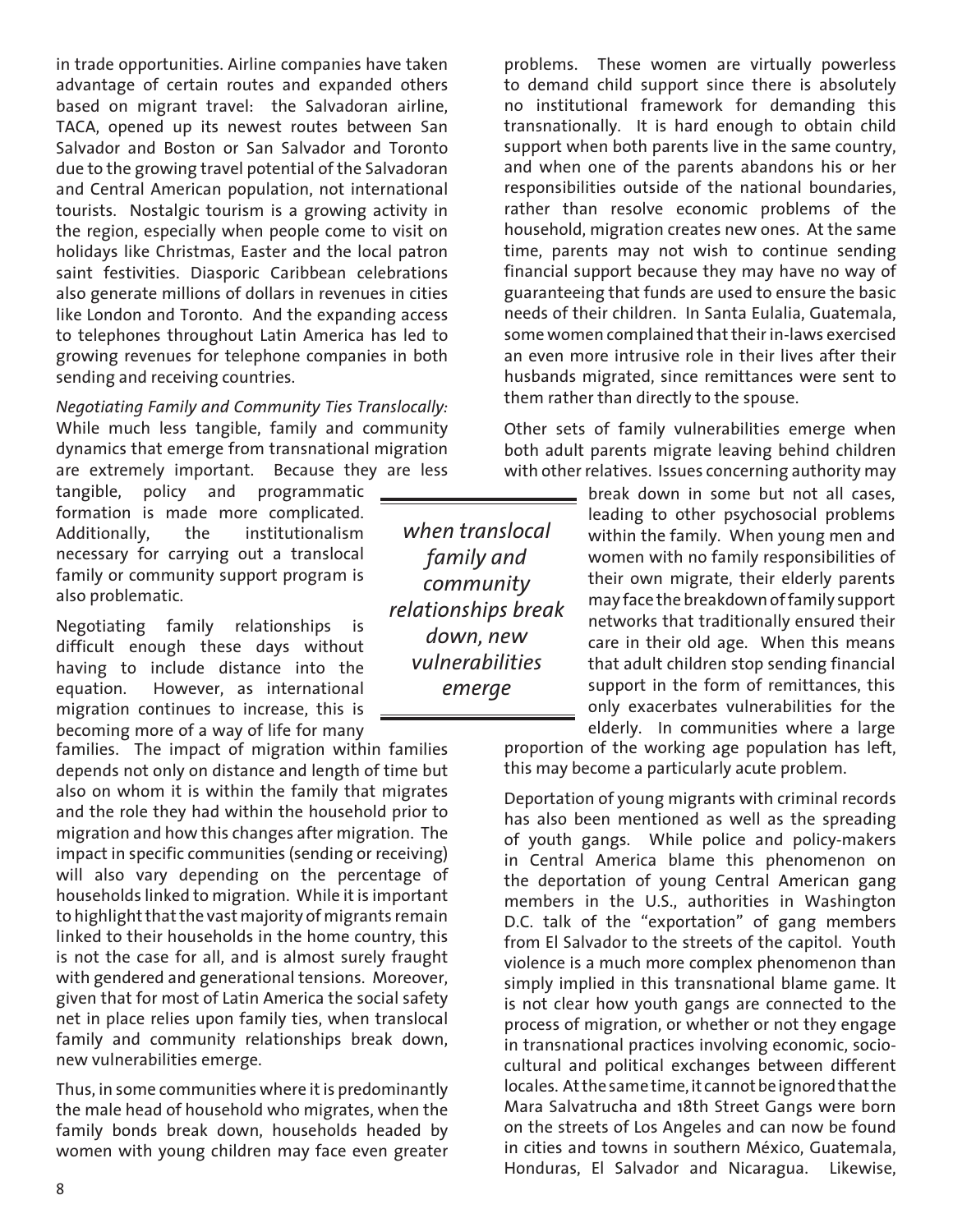in trade opportunities. Airline companies have taken advantage of certain routes and expanded others based on migrant travel: the Salvadoran airline, TACA, opened up its newest routes between San Salvador and Boston or San Salvador and Toronto due to the growing travel potential of the Salvadoran and Central American population, not international tourists. Nostalgic tourism is a growing activity in the region, especially when people come to visit on holidays like Christmas, Easter and the local patron saint festivities. Diasporic Caribbean celebrations also generate millions of dollars in revenues in cities like London and Toronto. And the expanding access to telephones throughout Latin America has led to growing revenues for telephone companies in both sending and receiving countries.

*Negotiating Family and Community Ties Translocally:* While much less tangible, family and community dynamics that emerge from transnational migration are extremely important. Because they are less

tangible, policy and programmatic formation is made more complicated. Additionally, the institutionalism necessary for carrying out a translocal family or community support program is also problematic.

Negotiating family relationships is difficult enough these days without having to include distance into the equation. However, as international migration continues to increase, this is becoming more of a way of life for many

families. The impact of migration within families depends not only on distance and length of time but also on whom it is within the family that migrates and the role they had within the household prior to migration and how this changes after migration. The impact in specific communities (sending or receiving) will also vary depending on the percentage of households linked to migration. While it is important to highlight that the vast majority of migrants remain linked to their households in the home country, this is not the case for all, and is almost surely fraught with gendered and generational tensions. Moreover, given that for most of Latin America the social safety net in place relies upon family ties, when translocal family and community relationships break down, new vulnerabilities emerge.

Thus, in some communities where it is predominantly the male head of household who migrates, when the family bonds break down, households headed by women with young children may face even greater

*when translocal family and community relationships break down, new vulnerabilities emerge*

problems. These women are virtually powerless to demand child support since there is absolutely no institutional framework for demanding this transnationally. It is hard enough to obtain child support when both parents live in the same country, and when one of the parents abandons his or her responsibilities outside of the national boundaries, rather than resolve economic problems of the household, migration creates new ones. At the same time, parents may not wish to continue sending financial support because they may have no way of guaranteeing that funds are used to ensure the basic needs of their children. In Santa Eulalia, Guatemala, some women complained that their in-laws exercised an even more intrusive role in their lives after their husbands migrated, since remittances were sent to them rather than directly to the spouse.

Other sets of family vulnerabilities emerge when both adult parents migrate leaving behind children with other relatives. Issues concerning authority may

> break down in some but not all cases, leading to other psychosocial problems within the family. When young men and women with no family responsibilities of their own migrate, their elderly parents may face the breakdown of family support networks that traditionally ensured their care in their old age. When this means that adult children stop sending financial support in the form of remittances, this only exacerbates vulnerabilities for the elderly. In communities where a large

proportion of the working age population has left, this may become a particularly acute problem.

Deportation of young migrants with criminal records has also been mentioned as well as the spreading of youth gangs. While police and policy-makers in Central America blame this phenomenon on the deportation of young Central American gang members in the U.S., authorities in Washington D.C. talk of the "exportation" of gang members from El Salvador to the streets of the capitol. Youth violence is a much more complex phenomenon than simply implied in this transnational blame game. It is not clear how youth gangs are connected to the process of migration, or whether or not they engage in transnational practices involving economic, sociocultural and political exchanges between different locales. At the same time, it cannot be ignored that the Mara Salvatrucha and 18th Street Gangs were born on the streets of Los Angeles and can now be found in cities and towns in southern México, Guatemala, Honduras, El Salvador and Nicaragua. Likewise,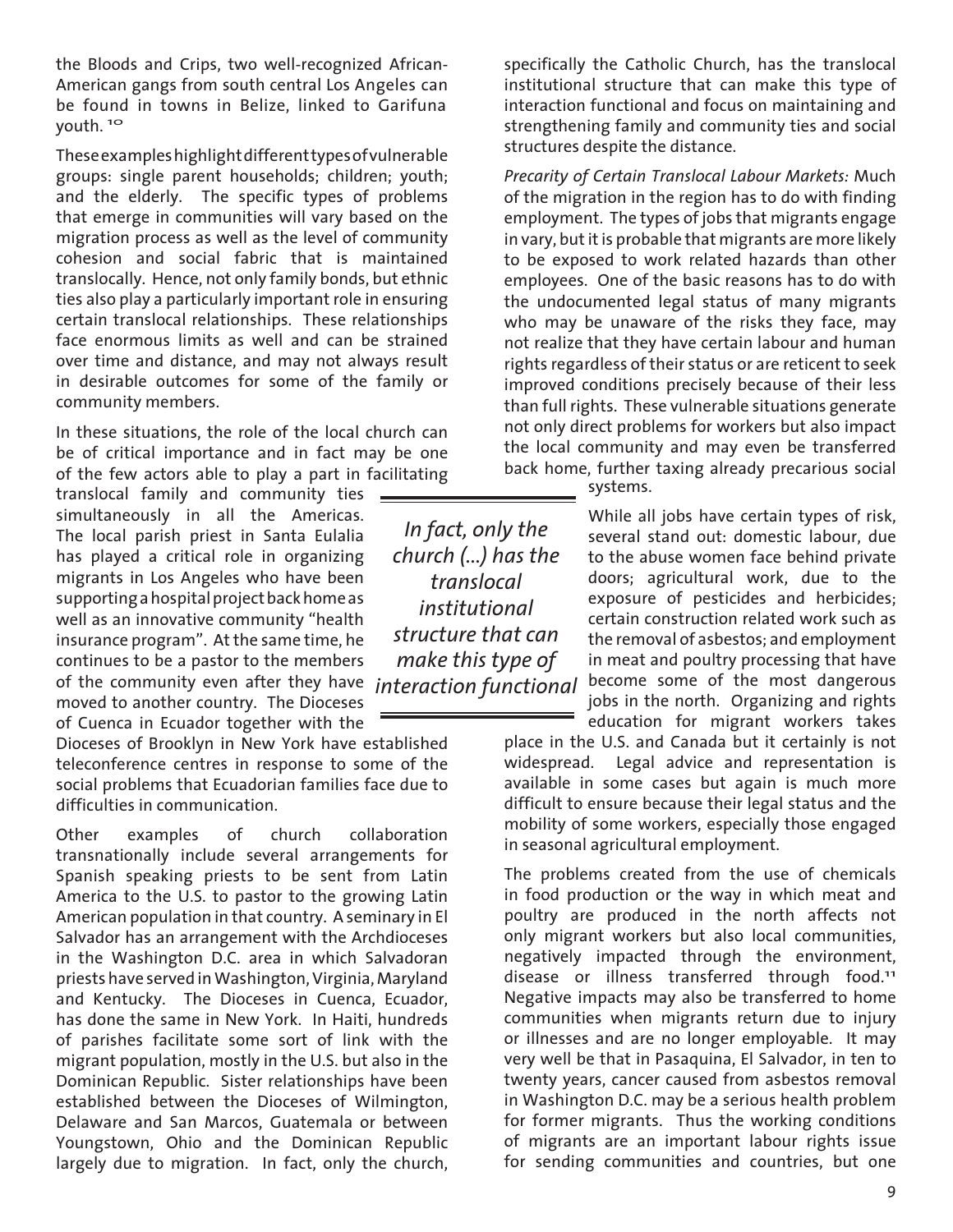the Bloods and Crips, two well-recognized African-American gangs from south central Los Angeles can be found in towns in Belize, linked to Garifuna youth.<sup>10</sup>

These examples highlight different types of vulnerable groups: single parent households; children; youth; and the elderly. The specific types of problems that emerge in communities will vary based on the migration process as well as the level of community cohesion and social fabric that is maintained translocally. Hence, not only family bonds, but ethnic ties also play a particularly important role in ensuring certain translocal relationships. These relationships face enormous limits as well and can be strained over time and distance, and may not always result in desirable outcomes for some of the family or community members.

In these situations, the role of the local church can be of critical importance and in fact may be one of the few actors able to play a part in facilitating

of the community even after they have *interaction functional* translocal family and community ties  $=$ simultaneously in all the Americas. The local parish priest in Santa Eulalia has played a critical role in organizing migrants in Los Angeles who have been supporting a hospital project back home as well as an innovative community "health insurance program". At the same time, he continues to be a pastor to the members moved to another country. The Dioceses of Cuenca in Ecuador together with the

Dioceses of Brooklyn in New York have established teleconference centres in response to some of the social problems that Ecuadorian families face due to difficulties in communication.

Other examples of church collaboration transnationally include several arrangements for Spanish speaking priests to be sent from Latin America to the U.S. to pastor to the growing Latin American population in that country. A seminary in El Salvador has an arrangement with the Archdioceses in the Washington D.C. area in which Salvadoran priests have served in Washington, Virginia, Maryland and Kentucky. The Dioceses in Cuenca, Ecuador, has done the same in New York. In Haiti, hundreds of parishes facilitate some sort of link with the migrant population, mostly in the U.S. but also in the Dominican Republic. Sister relationships have been established between the Dioceses of Wilmington, Delaware and San Marcos, Guatemala or between Youngstown, Ohio and the Dominican Republic largely due to migration. In fact, only the church,

*In fact, only the church (...) has the translocal institutional structure that can make this type of* 

specifically the Catholic Church, has the translocal institutional structure that can make this type of interaction functional and focus on maintaining and strengthening family and community ties and social structures despite the distance.

*Precarity of Certain Translocal Labour Markets:* Much of the migration in the region has to do with finding employment. The types of jobs that migrants engage in vary, but it is probable that migrants are more likely to be exposed to work related hazards than other employees. One of the basic reasons has to do with the undocumented legal status of many migrants who may be unaware of the risks they face, may not realize that they have certain labour and human rights regardless of their status or are reticent to seek improved conditions precisely because of their less than full rights. These vulnerable situations generate not only direct problems for workers but also impact the local community and may even be transferred back home, further taxing already precarious social

systems.

While all jobs have certain types of risk, several stand out: domestic labour, due to the abuse women face behind private doors; agricultural work, due to the exposure of pesticides and herbicides; certain construction related work such as the removal of asbestos; and employment in meat and poultry processing that have become some of the most dangerous jobs in the north. Organizing and rights

education for migrant workers takes place in the U.S. and Canada but it certainly is not widespread. Legal advice and representation is available in some cases but again is much more difficult to ensure because their legal status and the mobility of some workers, especially those engaged in seasonal agricultural employment.

The problems created from the use of chemicals in food production or the way in which meat and poultry are produced in the north affects not only migrant workers but also local communities, negatively impacted through the environment, disease or illness transferred through food.<sup>11</sup> Negative impacts may also be transferred to home communities when migrants return due to injury or illnesses and are no longer employable. It may very well be that in Pasaquina, El Salvador, in ten to twenty years, cancer caused from asbestos removal in Washington D.C. may be a serious health problem for former migrants. Thus the working conditions of migrants are an important labour rights issue for sending communities and countries, but one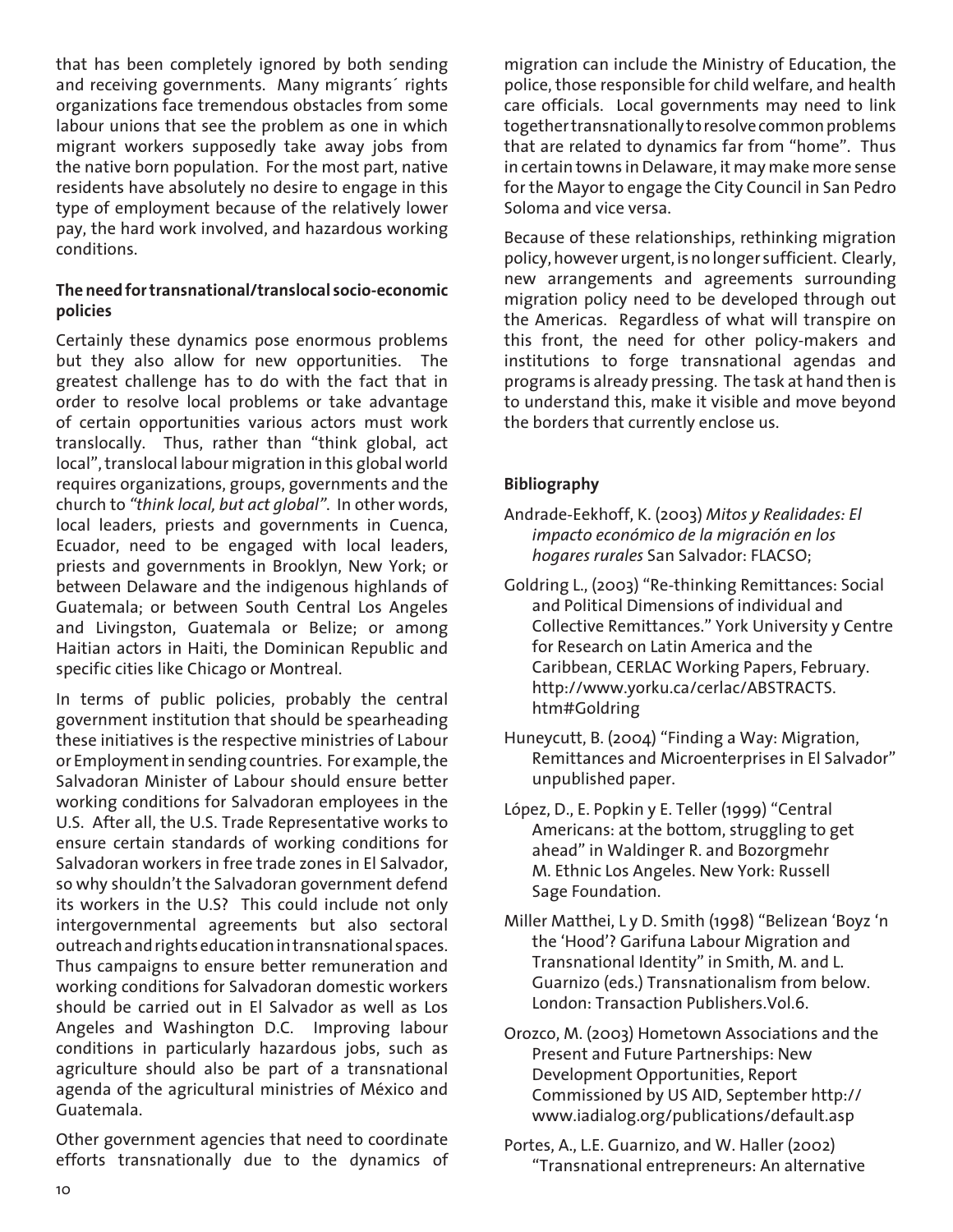that has been completely ignored by both sending and receiving governments. Many migrants´ rights organizations face tremendous obstacles from some labour unions that see the problem as one in which migrant workers supposedly take away jobs from the native born population. For the most part, native residents have absolutely no desire to engage in this type of employment because of the relatively lower pay, the hard work involved, and hazardous working conditions.

## **The need for transnational/translocal socio-economic policies**

Certainly these dynamics pose enormous problems but they also allow for new opportunities. The greatest challenge has to do with the fact that in order to resolve local problems or take advantage of certain opportunities various actors must work translocally. Thus, rather than "think global, act local", translocal labour migration in this global world requires organizations, groups, governments and the church to *"think local, but act global"*. In other words, local leaders, priests and governments in Cuenca, Ecuador, need to be engaged with local leaders, priests and governments in Brooklyn, New York; or between Delaware and the indigenous highlands of Guatemala; or between South Central Los Angeles and Livingston, Guatemala or Belize; or among Haitian actors in Haiti, the Dominican Republic and specific cities like Chicago or Montreal.

In terms of public policies, probably the central government institution that should be spearheading these initiatives is the respective ministries of Labour or Employment in sending countries. For example, the Salvadoran Minister of Labour should ensure better working conditions for Salvadoran employees in the U.S. After all, the U.S. Trade Representative works to ensure certain standards of working conditions for Salvadoran workers in free trade zones in El Salvador, so why shouldn't the Salvadoran government defend its workers in the U.S? This could include not only intergovernmental agreements but also sectoral outreach and rights education in transnational spaces. Thus campaigns to ensure better remuneration and working conditions for Salvadoran domestic workers should be carried out in El Salvador as well as Los Angeles and Washington D.C. Improving labour conditions in particularly hazardous jobs, such as agriculture should also be part of a transnational agenda of the agricultural ministries of México and Guatemala.

Other government agencies that need to coordinate efforts transnationally due to the dynamics of

migration can include the Ministry of Education, the police, those responsible for child welfare, and health care officials. Local governments may need to link together transnationally to resolve common problems that are related to dynamics far from "home". Thus in certain towns in Delaware, it may make more sense for the Mayor to engage the City Council in San Pedro Soloma and vice versa.

Because of these relationships, rethinking migration policy, however urgent, is no longer sufficient. Clearly, new arrangements and agreements surrounding migration policy need to be developed through out the Americas. Regardless of what will transpire on this front, the need for other policy-makers and institutions to forge transnational agendas and programs is already pressing. The task at hand then is to understand this, make it visible and move beyond the borders that currently enclose us.

# **Bibliography**

- Andrade-Eekhoff, K. (2003) *Mitos y Realidades: El impacto económico de la migración en los hogares rurales* San Salvador: FLACSO;
- Goldring L., (2003) "Re-thinking Remittances: Social and Political Dimensions of individual and Collective Remittances." York University y Centre for Research on Latin America and the Caribbean, CERLAC Working Papers, February. http://www.yorku.ca/cerlac/ABSTRACTS. htm#Goldring
- Huneycutt, B. (2004) "Finding a Way: Migration, Remittances and Microenterprises in El Salvador" unpublished paper.
- López, D., E. Popkin y E. Teller (1999) "Central Americans: at the bottom, struggling to get ahead" in Waldinger R. and Bozorgmehr M. Ethnic Los Angeles. New York: Russell Sage Foundation.
- Miller Matthei, L y D. Smith (1998) "Belizean 'Boyz 'n the 'Hood'? Garifuna Labour Migration and Transnational Identity" in Smith, M. and L. Guarnizo (eds.) Transnationalism from below. London: Transaction Publishers.Vol.6.
- Orozco, M. (2003) Hometown Associations and the Present and Future Partnerships: New Development Opportunities, Report Commissioned by US AID, September http:// www.iadialog.org/publications/default.asp
- Portes, A., L.E. Guarnizo, and W. Haller (2002) "Transnational entrepreneurs: An alternative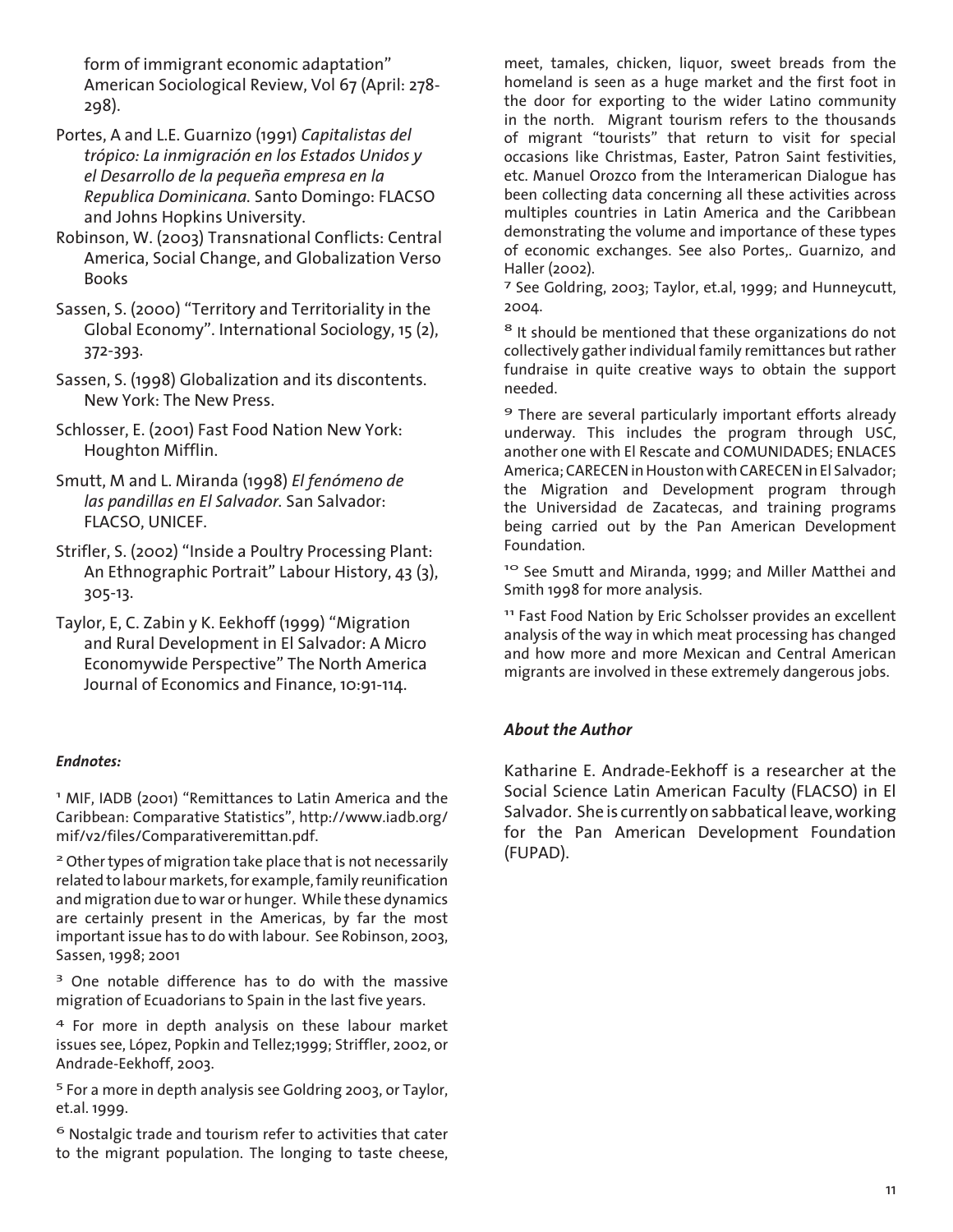form of immigrant economic adaptation" American Sociological Review, Vol 67 (April: 278- 298).

- Portes, A and L.E. Guarnizo (1991) *Capitalistas del trópico: La inmigración en los Estados Unidos y el Desarrollo de la pequeña empresa en la Republica Dominicana.* Santo Domingo: FLACSO and Johns Hopkins University.
- Robinson, W. (2003) Transnational Conflicts: Central America, Social Change, and Globalization Verso Books
- Sassen, S. (2000) "Territory and Territoriality in the Global Economy". International Sociology, 15 (2), 372-393.
- Sassen, S. (1998) Globalization and its discontents. New York: The New Press.
- Schlosser, E. (2001) Fast Food Nation New York: Houghton Mifflin.
- Smutt, M and L. Miranda (1998) *El fenómeno de las pandillas en El Salvador.* San Salvador: FLACSO, UNICEF.
- Strifler, S. (2002) "Inside a Poultry Processing Plant: An Ethnographic Portrait" Labour History, 43 (3), 305-13.
- Taylor, E, C. Zabin y K. Eekhoff (1999) "Migration and Rural Development in El Salvador: A Micro Economywide Perspective" The North America Journal of Economics and Finance, 10:91-114.

#### *Endnotes:*

1 MIF, IADB (2001) "Remittances to Latin America and the Caribbean: Comparative Statistics", http://www.iadb.org/ mif/v2/files/Comparativeremittan.pdf.

<sup>2</sup> Other types of migration take place that is not necessarily related to labour markets, for example, family reunification and migration due to war or hunger. While these dynamics are certainly present in the Americas, by far the most important issue has to do with labour. See Robinson, 2003, Sassen, 1998; 2001

<sup>3</sup> One notable difference has to do with the massive migration of Ecuadorians to Spain in the last five years.

4 For more in depth analysis on these labour market issues see, López, Popkin and Tellez;1999; Striffler, 2002, or Andrade-Eekhoff, 2003.

5 For a more in depth analysis see Goldring 2003, or Taylor, et.al. 1999.

 $<sup>6</sup>$  Nostalgic trade and tourism refer to activities that cater</sup> to the migrant population. The longing to taste cheese,

meet, tamales, chicken, liquor, sweet breads from the homeland is seen as a huge market and the first foot in the door for exporting to the wider Latino community in the north. Migrant tourism refers to the thousands of migrant "tourists" that return to visit for special occasions like Christmas, Easter, Patron Saint festivities, etc. Manuel Orozco from the Interamerican Dialogue has been collecting data concerning all these activities across multiples countries in Latin America and the Caribbean demonstrating the volume and importance of these types of economic exchanges. See also Portes,. Guarnizo, and Haller (2002).

7 See Goldring, 2003; Taylor, et.al, 1999; and Hunneycutt, 2004.

<sup>8</sup> It should be mentioned that these organizations do not collectively gather individual family remittances but rather fundraise in quite creative ways to obtain the support needed.

9 There are several particularly important efforts already underway. This includes the program through USC, another one with El Rescate and COMUNIDADES; ENLACES America; CARECEN in Houston with CARECEN in El Salvador; the Migration and Development program through the Universidad de Zacatecas, and training programs being carried out by the Pan American Development Foundation.

<sup>10</sup> See Smutt and Miranda, 1999; and Miller Matthei and Smith 1998 for more analysis.

11 Fast Food Nation by Eric Scholsser provides an excellent analysis of the way in which meat processing has changed and how more and more Mexican and Central American migrants are involved in these extremely dangerous jobs.

#### *About the Author*

Katharine E. Andrade-Eekhoff is a researcher at the Social Science Latin American Faculty (FLACSO) in El Salvador. She is currently on sabbatical leave, working for the Pan American Development Foundation (FUPAD).